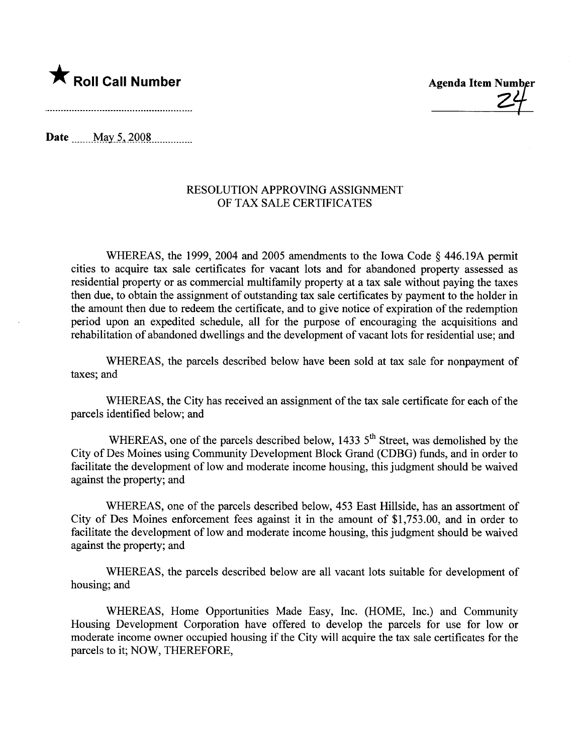

Date \_\_\_\_\_ May 5, 2008

## RESOLUTION APPROVING ASSIGNMENT OF TAX SALE CERTIFICATES

WHEREAS, the 1999, 2004 and 2005 amendments to the Iowa Code  $\delta$  446.19A permit cities to acquire tax sale certificates for vacant lots and for abandoned property assessed as residential property or as commercial multifamily property at a tax sale without paying the taxes then due, to obtain the assignment of outstanding tax sale certificates by payment to the holder in the amount then due to redeem the certificate, and to give notice of expiration of the redemption period upon an expedited schedule, all for the purpose of encouraging the acquisitions and rehabilitation of abandoned dwellings and the development of vacant lots for residential use; and

WHEREAS, the parcels described below have been sold at tax sale for nonpayment of taxes; and

WHEREAS, the City has received an assignment of the tax sale certificate for each of the parcels identified below; and

WHEREAS, one of the parcels described below, 1433  $5<sup>th</sup>$  Street, was demolished by the City of Des Moines using Community Development Block Grand (CDBG) fuds, and in order to facilitate the development of low and moderate income housing, this judgment should be waived against the property; and

WHEREAS, one of the parcels described below, 453 East Hillside, has an assortment of City of Des Moines enforcement fees against it in the amount of \$1,753.00, and in order to facilitate the development of low and moderate income housing, this judgment should be waived against the property; and

WHEREAS, the parcels described below are all vacant lots suitable for development of housing; and

WHEREAS, Home Opportunities Made Easy, Inc. (HOME, Inc.) and Community Housing Development Corporation have offered to develop the parcels for use for low or moderate income owner occupied housing if the City will acquire the tax sale certificates for the parcels to it; NOW, THEREFORE,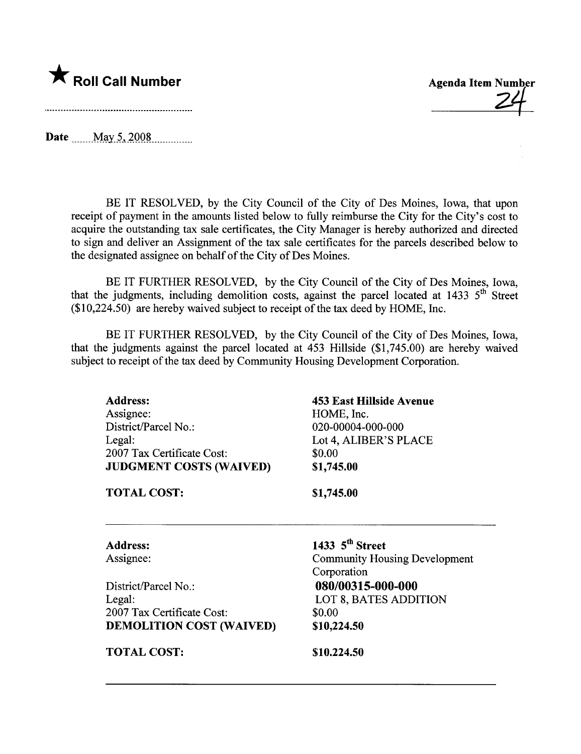

Date  $_{\text{May 5, 2008}}$ 

BE IT RESOLVED, by the City Council of the City of Des Moines, Iowa, that upon receipt of payment in the amounts listed below to fully reimburse the City for the City's cost to acquire the outstanding tax sale certificates, the City Manager is hereby authorized and directed to sign and deliver an Assignment of the tax sale certificates for the parcels described below to the designated assignee on behalf of the City of Des Moines.

BE IT FURTHER RESOLVED, by the City Council of the City of Des Moines, Iowa, that the judgments, including demolition costs, against the parcel located at  $1433 \, 5^{th}$  Street  $($10,224.50)$  are hereby waived subject to receipt of the tax deed by HOME, Inc.

BE IT FURTHER RESOLVED, by the City Council of the City of Des Moines, Iowa, that the judgments against the parcel located at 453 Hilside (\$1,745.00) are hereby waived subject to receipt of the tax deed by Community Housing Development Corporation.

Address: Assignee: District/Parcel No.: Legal: 2007 Tax Certificate Cost: JUDGMENT COSTS (WAIVED)

453 East Hilside Avenue HOME, Inc. 020-00004-000-000 Lot 4, ALIBER'S PLACE \$0.00 \$1,745.00

**Agenda Item Number** 

TOTAL COST:

\$1,745.00

1433  $5<sup>th</sup>$  Street

Corporation

Address: Assignee:

District/Parcel No.: Legal: 2007 Tax Certificate Cost: DEMOLITION COST (WAIVED)

TOTAL COST:

080/00315-000-000 LOT 8, BATES ADDITION \$0.00 \$10,224.50

Community Housing Development

\$10.224.50